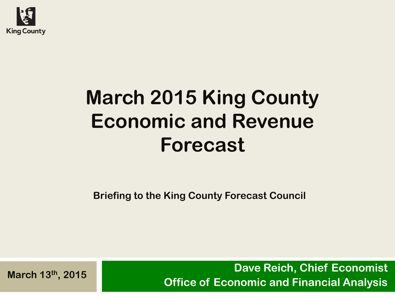

# **March 2015 King County Economic and Revenue Forecast**

**Briefing to the King County Forecast Council**

**Dave Reich, Chief Economist Office of Economic and Financial Analysis**<br>**Office of Economic and Financial Analysis**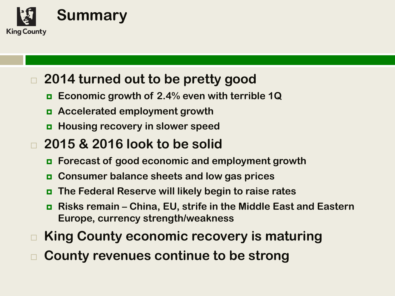

### **2014 turned out to be pretty good**

- **Economic growth of 2.4% even with terrible 1Q**
- **Accelerated employment growth**
- **Housing recovery in slower speed**
- **2015 & 2016 look to be solid**
	- **Forecast of good economic and employment growth**
	- **Consumer balance sheets and low gas prices**
	- **The Federal Reserve will likely begin to raise rates**
	- **Risks remain – China, EU, strife in the Middle East and Eastern Europe, currency strength/weakness**
- **King County economic recovery is maturing**
- **County revenues continue to be strong**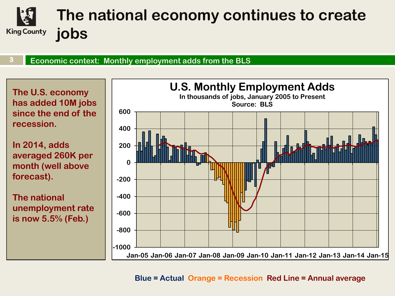### **The national economy continues to create King County jobs**

**Economic context: Monthly employment adds from the BLS 3** 

**The U.S. economy has added 10M jobs since the end of the recession.** 

**In 2014, adds averaged 260K per month (well above forecast).**

**The national unemployment rate is now 5.5% (Feb.)**



#### **Blue = Actual Orange = Recession Red Line = Annual average**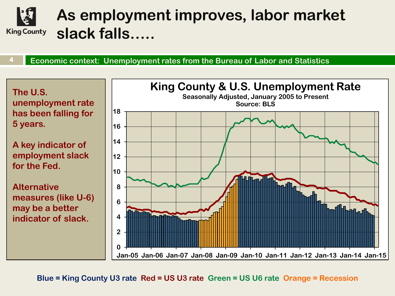### **As employment improves, labor market slack falls….. King County**

**Economic context: Unemployment rates from the Bureau of Labor and Statistics 4** 

**The U.S. unemployment rate has been falling for 5 years.**

**A key indicator of employment slack for the Fed.** 

**Alternative measures (like U-6) may be a better indicator of slack.** 



**Blue = King County U3 rate Red = US U3 rate Green = US U6 rate Orange = Recession**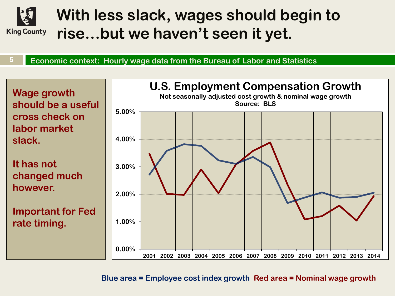

## **With less slack, wages should begin to rise…but we haven't seen it yet.**

**Economic context: Hourly wage data from the Bureau of Labor and Statistics 5** 

**Wage growth should be a useful cross check on labor market slack.**

**It has not changed much however.**

**Important for Fed rate timing.**



**Blue area = Employee cost index growth Red area = Nominal wage growth**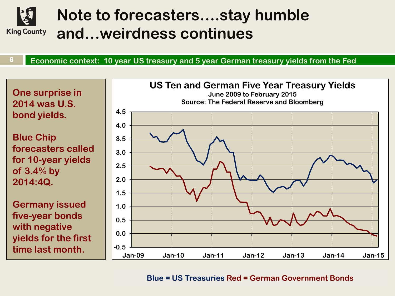

## **Note to forecasters….stay humble and…weirdness continues**

**Economic context: 10 year US treasury and 5 year German treasury yields from the Fed 6** 

**One surprise in 2014 was U.S. bond yields. Blue Chip forecasters called for 10-year yields of 3.4% by 2014:4Q. Germany issued five-year bonds with negative 0.0 0.5 1.0 1.5 2.0 2.5 3.0 3.5 4.0 4.5**

**yields for the first time last month.**



#### **Blue = US Treasuries Red = German Government Bonds**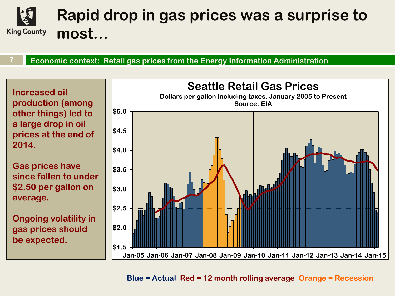

**Economic context: Retail gas prices from the Energy Information Administration 7** 

**Increased oil production (among other things) led to a large drop in oil prices at the end of 2014.**

**Gas prices have since fallen to under \$2.50 per gallon on average.**

**Ongoing volatility in gas prices should be expected.**



**Blue = Actual Red = 12 month rolling average Orange = Recession**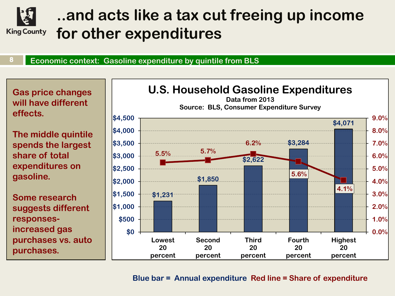

## **..and acts like a tax cut freeing up income for other expenditures**

#### **Economic context: Gasoline expenditure by quintile from BLS 8**

**Gas price changes will have different effects.**

**The middle quintile spends the largest share of total expenditures on gasoline.**

**Some research suggests different responsesincreased gas purchases vs. auto purchases.**



#### **Blue bar = Annual expenditure Red line = Share of expenditure**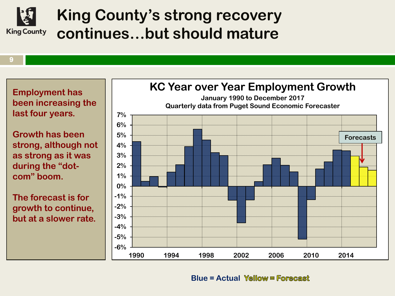

### **King County's strong recovery continues…but should mature**

**9** 

**Employment has been increasing the last four years.**

**Growth has been strong, although not as strong as it was during the "dotcom" boom.**

**The forecast is for growth to continue, but at a slower rate.** 



**Blue = Actual**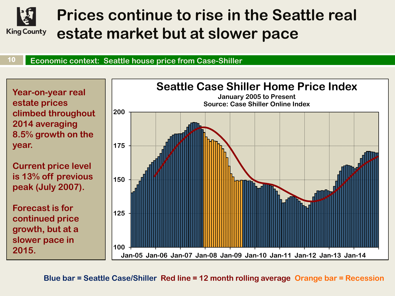

## **Prices continue to rise in the Seattle real estate market but at slower pace**

#### **Economic context: Seattle house price from Case-Shiller 10**

**Year-on-year real estate prices climbed throughout 2014 averaging 8.5% growth on the year.**

**Current price level is 13% off previous peak (July 2007).**

**Forecast is for continued price growth, but at a slower pace in 2015.**



**Blue bar = Seattle Case/Shiller Red line = 12 month rolling average Orange bar = Recession**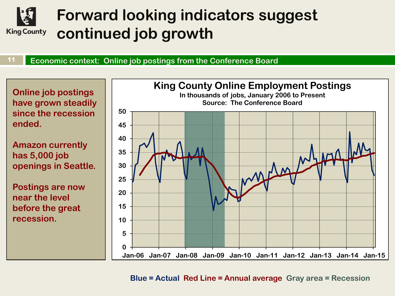

## **Forward looking indicators suggest continued job growth**

**Economic context: Online job postings from the Conference Board 11** 

**Online job postings have grown steadily since the recession ended.** 

**Amazon currently has 5,000 job openings in Seattle.** 

**Postings are now near the level before the great recession.**



**Blue = Actual Red Line = Annual average Gray area = Recession**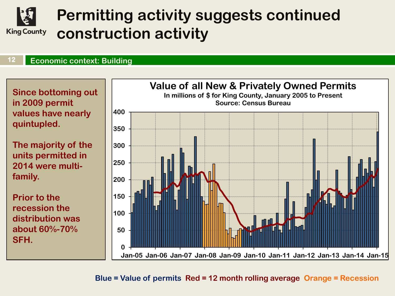

## **Permitting activity suggests continued construction activity**

#### **Economic context: Building 12**

**Since bottoming out in 2009 permit values have nearly quintupled.**

**The majority of the units permitted in 2014 were multifamily.**

**Prior to the recession the distribution was about 60%-70% SFH.**



**Blue = Value of permits Red = 12 month rolling average Orange = Recession**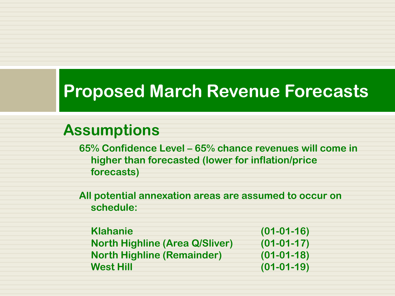## **Proposed March Revenue Forecasts**

### **Assumptions**

**65% Confidence Level – 65% chance revenues will come in higher than forecasted (lower for inflation/price forecasts)**

**All potential annexation areas are assumed to occur on schedule:**

**Klahanie (01-01-16) North Highline (Area Q/Sliver) (01-01-17) North Highline (Remainder) (01-01-18) West Hill (01-01-19)**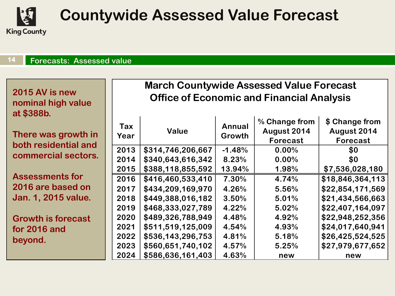

## **Countywide Assessed Value Forecast**

#### **Forecasts: Assessed value 14**

| 2015 AV is new<br>nominal high value<br>at \$388b. | <b>March Countywide Assessed Value Forecast</b><br><b>Office of Economic and Financial Analysis</b> |                                        |                   |                                                 |                                                  |  |
|----------------------------------------------------|-----------------------------------------------------------------------------------------------------|----------------------------------------|-------------------|-------------------------------------------------|--------------------------------------------------|--|
| There was growth in<br>both residential and        | Tax<br>Year                                                                                         | <b>Value</b>                           | Annual<br>Growth  | % Change from<br>August 2014<br><b>Forecast</b> | \$ Change from<br>August 2014<br><b>Forecast</b> |  |
| commercial sectors.                                | 2013<br>2014                                                                                        | \$314,746,206,667<br>\$340,643,616,342 | $-1.48%$<br>8.23% | $0.00\%$<br>0.00%                               | \$0<br>\$0                                       |  |
|                                                    | 2015                                                                                                | \$388,118,855,592                      | 13.94%            | 1.98%                                           | \$7,536,028,180                                  |  |
| <b>Assessments for</b><br>2016 are based on        | 2016                                                                                                | \$416,460,533,410<br>\$434,209,169,970 | 7.30%             | 4.74%                                           | \$18,846,364,113                                 |  |
| Jan. 1, 2015 value.                                | 2017<br>2018                                                                                        | \$449,388,016,182                      | 4.26%<br>3.50%    | 5.56%<br>5.01%                                  | \$22,854,171,569<br>\$21,434,566,663             |  |
|                                                    | 2019                                                                                                | \$468,333,027,789                      | 4.22%             | 5.02%                                           | \$22,407,164,097                                 |  |
| <b>Growth is forecast</b>                          | 2020                                                                                                | \$489,326,788,949                      | 4.48%             | 4.92%                                           | \$22,948,252,356                                 |  |
| for 2016 and                                       | 2021                                                                                                | \$511,519,125,009                      | 4.54%             | 4.93%                                           | \$24,017,640,941                                 |  |
| beyond.                                            | 2022                                                                                                | \$536,143,296,753                      | 4.81%             | 5.18%                                           | \$26,425,524,525                                 |  |
|                                                    | 2023<br>2024                                                                                        | \$560,651,740,102<br>\$586,636,161,403 | 4.57%<br>4.63%    | 5.25%<br>new                                    | \$27,979,677,652<br>new                          |  |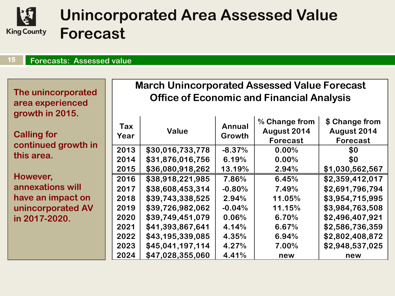

## **Unincorporated Area Assessed Value Forecast**

#### **Forecasts: Assessed value 15**

**The unincorporated area experienced growth in 2015.**

**Calling for continued growt this area.**

**However, annexations will**  have an **impact unincorporated in 2017-2020.**

### **March Unincorporated Assessed Value Forecast Office of Economic and Financial Analysis**

| th in     | Tax<br>Year | <b>Value</b>     | <b>Annual</b><br>Growth | % Change from<br>August 2014<br><b>Forecast</b> | \$ Change from<br>August 2014<br><b>Forecast</b> |
|-----------|-------------|------------------|-------------------------|-------------------------------------------------|--------------------------------------------------|
|           | 2013        | \$30,016,733,778 | $-8.37%$                | $0.00\%$                                        | \$0                                              |
|           | 2014        | \$31,876,016,756 | 6.19%                   | 0.00%                                           | \$0                                              |
|           | 2015        | \$36,080,918,262 | 13.19%                  | 2.94%                                           | \$1,030,562,567                                  |
|           | 2016        | \$38,918,221,985 | 7.86%                   | 6.45%                                           | \$2,359,412,017                                  |
|           | 2017        | \$38,608,453,314 | $-0.80%$                | 7.49%                                           | \$2,691,796,794                                  |
| on        | 2018        | \$39,743,338,525 | 2.94%                   | 11.05%                                          | \$3,954,715,995                                  |
| <b>AV</b> | 2019        | \$39,726,982,062 | $-0.04%$                | 11.15%                                          | \$3,984,763,508                                  |
|           | 2020        | \$39,749,451,079 | 0.06%                   | 6.70%                                           | \$2,496,407,921                                  |
|           | 2021        | \$41,393,867,641 | 4.14%                   | 6.67%                                           | \$2,586,736,359                                  |
|           | 2022        | \$43,195,339,085 | 4.35%                   | 6.94%                                           | \$2,802,408,872                                  |
|           | 2023        | \$45,041,197,114 | 4.27%                   | 7.00%                                           | \$2,948,537,025                                  |
|           | 2024        | \$47,028,355,060 | 4.41%                   | new                                             | new                                              |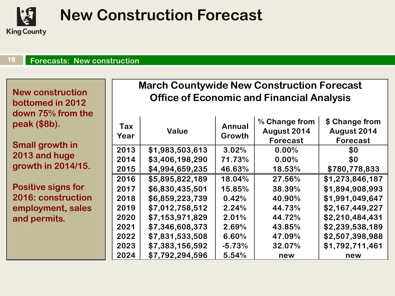

## **New Construction Forecast**

#### **Forecasts: New construction 16**

**New construction bottomed in 2012 down 75% from the peak (\$8b).**

**Small growth in 2013 and huge growth in 2014/15.**

**Positive signs for 2016: construction employment, sales and permits.**

#### **March Countywide New Construction Forecast Office of Economic and Financial Analysis**

| Tax<br>Year | Value           | <b>Annual</b><br>Growth | % Change from<br>August 2014<br><b>Forecast</b> | \$ Change from<br>August 2014<br>Forecast |
|-------------|-----------------|-------------------------|-------------------------------------------------|-------------------------------------------|
| 2013        | \$1,983,503,613 | 3.02%                   | 0.00%                                           | \$0                                       |
| 2014        | \$3,406,198,290 | 71.73%                  | 0.00%                                           | \$0                                       |
| 2015        | \$4,994,659,235 | 46.63%                  | 18.53%                                          | \$780,778,833                             |
| 2016        | \$5,895,822,189 | 18.04%                  | 27.56%                                          | \$1,273,846,187                           |
| 2017        | \$6,830,435,501 | 15.85%                  | 38.39%                                          | \$1,894,908,993                           |
| 2018        | \$6,859,223,739 | 0.42%                   | 40.90%                                          | \$1,991,049,647                           |
| 2019        | \$7,012,758,512 | 2.24%                   | 44.73%                                          | \$2,167,449,227                           |
| 2020        | \$7,153,971,829 | 2.01%                   | 44.72%                                          | \$2,210,484,431                           |
| 2021        | \$7,346,608,373 | 2.69%                   | 43.85%                                          | \$2,239,538,189                           |
| 2022        | \$7,831,533,508 | 6.60%                   | 47.09%                                          | \$2,507,398,988                           |
| 2023        | \$7,383,156,592 | $-5.73%$                | 32.07%                                          | \$1,792,711,461                           |
| 2024        | \$7,792,294,596 | 5.54%                   | new                                             | new                                       |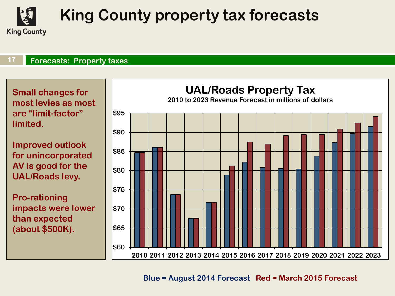

## **King County property tax forecasts**

#### **Forecasts: Property taxes 17**

**Small changes for most levies as most are "limit-factor" limited.**

**Improved outlook for unincorporated AV is good for the UAL/Roads levy.**

**Pro-rationing impacts were lower than expected (about \$500K).**



#### **Blue = August 2014 Forecast Red = March 2015 Forecast**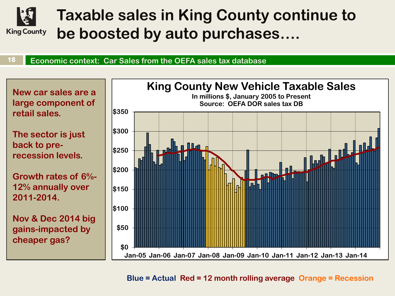

## **Taxable sales in King County continue to be boosted by auto purchases….**

#### **Economic context: Car Sales from the OEFA sales tax database 18**



**Blue = Actual Red = 12 month rolling average Orange = Recession**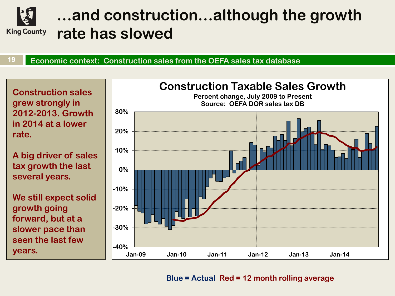

### **…and construction…although the growth rate has slowed**

**Economic context: Construction sales from the OEFA sales tax database 19** 

**Construction sales grew strongly in 2012-2013. Growth in 2014 at a lower rate.**

**A big driver of sales tax growth the last several years.**

**We still expect solid growth going forward, but at a slower pace than seen the last few years.**



**Blue = Actual Red = 12 month rolling average**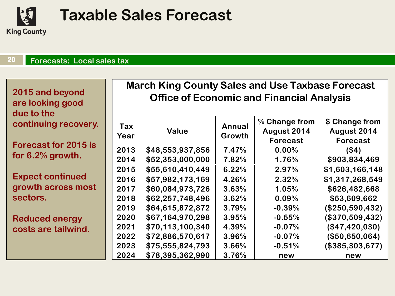

## **Taxable Sales Forecast**

 $\mathbf{r}$ 

#### **Forecasts: Local sales tax 20**

**2015 and beyond are looking good due to the continuing reco** 

**Forecast for 20** for 6.2% growtl

**Expect continu** growth across **sectors.**

**Reduced energ costs are tailw** 

#### **March King County Sales and Use Taxbase Forecast Office of Economic and Financial Analysis**

| overy.  | Tax  | <b>Value</b>     | Annual | % Change from<br>August 2014 | \$ Change from<br>August 2014 |
|---------|------|------------------|--------|------------------------------|-------------------------------|
| $15$ is | Year |                  | Growth | Forecast                     | <b>Forecast</b>               |
|         | 2013 | \$48,553,937,856 | 7.47%  | 0.00%                        | (\$4)                         |
| h.      | 2014 | \$52,353,000,000 | 7.82%  | 1.76%                        | \$903,834,469                 |
|         | 2015 | \$55,610,410,449 | 6.22%  | 2.97%                        | \$1,603,166,148               |
| led     | 2016 | \$57,982,173,169 | 4.26%  | 2.32%                        | \$1,317,268,549               |
| most    | 2017 | \$60,084,973,726 | 3.63%  | 1.05%                        | \$626,482,668                 |
|         | 2018 | \$62,257,748,496 | 3.62%  | 0.09%                        | \$53,609,662                  |
|         | 2019 | \$64,615,872,872 | 3.79%  | $-0.39%$                     | (\$250,590,432)               |
| ŊК      | 2020 | \$67,164,970,298 | 3.95%  | $-0.55%$                     | (\$370,509,432)               |
| ind.    | 2021 | \$70,113,100,340 | 4.39%  | $-0.07%$                     | (\$47,420,030)                |
|         | 2022 | \$72,886,570,617 | 3.96%  | $-0.07%$                     | (\$50,650,064)                |
|         | 2023 | \$75,555,824,793 | 3.66%  | $-0.51%$                     | (\$385,303,677)               |
|         | 2024 | \$78,395,362,990 | 3.76%  | new                          | new                           |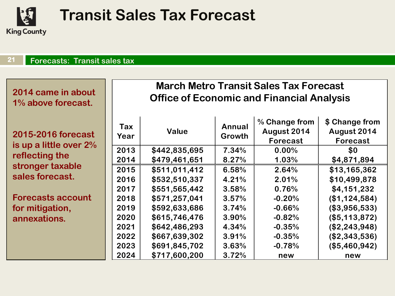

## **Transit Sales Tax Forecast**

#### **Forecasts: Transit sales tax 21**

**2014 came in about 1% above forecast.**

**2015-2016 forecast is up a little over 2% reflecting the stronger taxable sales forecast.** 

**Forecasts account for mitigation, annexations.**

#### **Office of Economic and Financial Analysis March Metro Transit Sales Tax Forecast**

| t<br>$\sqrt{0}$ | Tax<br>Year | <b>Value</b>  | <b>Annual</b><br>Growth | % Change from<br>August 2014<br>Forecast | \$ Change from<br>August 2014<br><b>Forecast</b> |
|-----------------|-------------|---------------|-------------------------|------------------------------------------|--------------------------------------------------|
|                 | 2013        | \$442,835,695 | 7.34%                   | 0.00%                                    | \$0                                              |
|                 | 2014        | \$479,461,651 | 8.27%                   | 1.03%                                    | \$4,871,894                                      |
|                 | 2015        | \$511,011,412 | 6.58%                   | 2.64%                                    | \$13,165,362                                     |
|                 | 2016        | \$532,510,337 | 4.21%                   | 2.01%                                    | \$10,499,878                                     |
|                 | 2017        | \$551,565,442 | 3.58%                   | 0.76%                                    | \$4,151,232                                      |
|                 | 2018        | \$571,257,041 | 3.57%                   | $-0.20%$                                 | (\$1,124,584)                                    |
|                 | 2019        | \$592,633,686 | 3.74%                   | $-0.66%$                                 | (\$3,956,533)                                    |
|                 | 2020        | \$615,746,476 | 3.90%                   | $-0.82%$                                 | (\$5,113,872)                                    |
|                 | 2021        | \$642,486,293 | 4.34%                   | $-0.35%$                                 | (\$2,243,948)                                    |
|                 | 2022        | \$667,639,302 | 3.91%                   | $-0.35%$                                 | (\$2,343,536)                                    |
|                 | 2023        | \$691,845,702 | 3.63%                   | $-0.78%$                                 | (\$5,460,942)                                    |
|                 | 2024        | \$717,600,200 | 3.72%                   | new                                      | new                                              |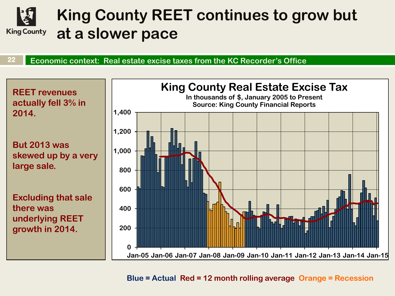

## **King County REET continues to grow but at a slower pace**

**Economic context: Real estate excise taxes from the KC Recorder's Office 22** 



**Blue = Actual Red = 12 month rolling average Orange = Recession**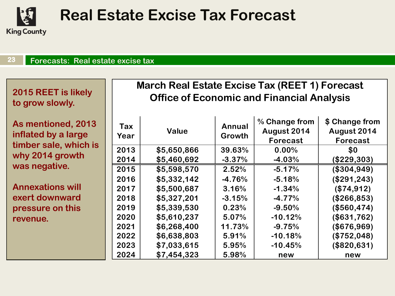

## **Real Estate Excise Tax Forecast**

#### **Forecasts: Real estate excise tax 23**

**2015 REET is likely to grow slowly.**

**As mentioned, 2013 inflated by a large timber sale, which is why 2014 growth was negative.**

**Annexations will exert downward pressure on this revenue.** 

#### **March Real Estate Excise Tax (REET 1) Forecast Office of Economic and Financial Analysis**

| Tax<br>Year | <b>Value</b> | Annual<br>Growth | % Change from<br>August 2014<br><b>Forecast</b> | \$ Change from<br>August 2014<br>Forecast |
|-------------|--------------|------------------|-------------------------------------------------|-------------------------------------------|
| 2013        | \$5,650,866  | 39.63%           | $0.00\%$                                        | \$0                                       |
| 2014        | \$5,460,692  | $-3.37%$         | $-4.03%$                                        | (\$229,303)                               |
| 2015        | \$5,598,570  | 2.52%            | $-5.17%$                                        | (\$304,949)                               |
| 2016        | \$5,332,142  | $-4.76%$         | $-5.18%$                                        | (\$291, 243)                              |
| 2017        | \$5,500,687  | 3.16%            | $-1.34%$                                        | (\$74,912)                                |
| 2018        | \$5,327,201  | $-3.15%$         | $-4.77%$                                        | (\$266,853)                               |
| 2019        | \$5,339,530  | 0.23%            | $-9.50%$                                        | (\$560,474)                               |
| 2020        | \$5,610,237  | 5.07%            | $-10.12%$                                       | (\$631,762)                               |
| 2021        | \$6,268,400  | 11.73%           | $-9.75%$                                        | (\$676,969)                               |
| 2022        | \$6,638,803  | 5.91%            | $-10.18%$                                       | (\$752,048)                               |
| 2023        | \$7,033,615  | 5.95%            | $-10.45%$                                       | (\$820,631)                               |
| 2024        | \$7,454,323  | 5.98%            | new                                             | new                                       |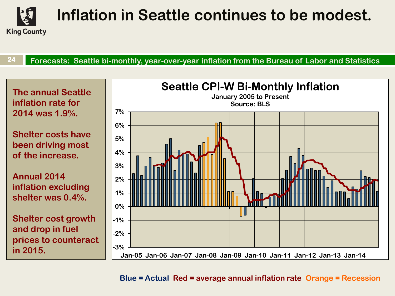

# **Inflation in Seattle continues to be modest.**

**Forecasts: Seattle bi-monthly, year-over-year inflation from the Bureau of Labor and Statistics 24** 



**Blue = Actual Red = average annual inflation rate Orange = Recession**